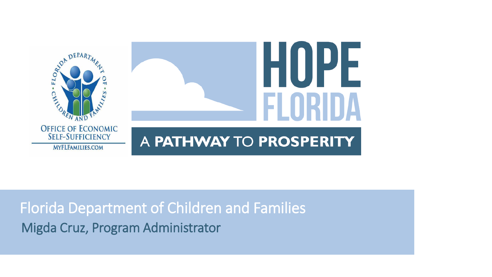

### Florida Department of Children and Families Migda Cruz, Program Administrator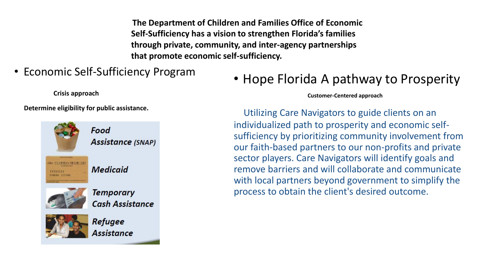**The Department of Children and Families Office of Economic Self-Sufficiency has a vision to strengthen Florida's families through private, community, and inter-agency partnerships that promote economic self-sufficiency.**

• Economic Self-Sufficiency Program

**Crisis approach**

**Determine eligibility for public assistance.**



#### • Hope Florida A pathway to Prosperity

**Customer-Centered approach**

Utilizing Care Navigators to guide clients on an individualized path to prosperity and economic selfsufficiency by prioritizing community involvement from our faith-based partners to our non-profits and private sector players. Care Navigators will identify goals and remove barriers and will collaborate and communicate with local partners beyond government to simplify the process to obtain the client's desired outcome.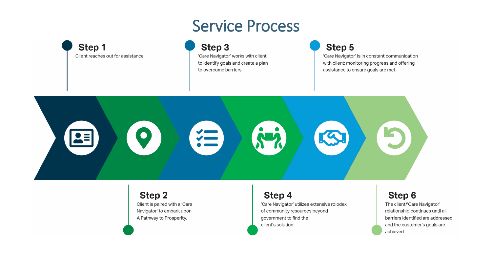### Service Process



Step 3 'Care Navigator' works with client to identify goals and create a plan to overcome barriers.

Step 5

'Care Navigator' is in constant communication with client; monitoring progress and offering assistance to ensure goals are met.



**Step 2** Client is paired with a 'Care Navigator' to embark upon A Pathway to Prosperity.

#### Step 4

'Care Navigator' utilizes extensive rolodex of community resources beyond government to find the client's solution.

#### **Step 6**

The client/'Care Navigator' relationship continues until all barriers identified are addressed and the customer's goals are achieved.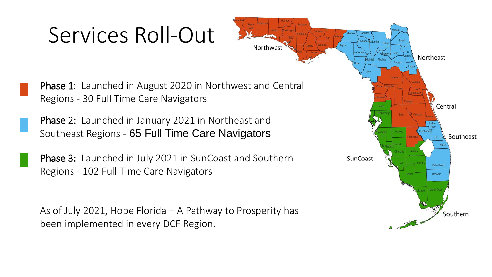## Services Roll-Out

Phase 1: Launched in August 2020 in Northwest and Central Regions - 30 Full Time Care Navigators

Northwest

Phase 2: Launched in January 2021 in Northeast and Southeast Regions - 65 Full Time Care Navigators

Phase 3: Launched in July 2021 in SunCoast and Southern Regions - 102 Full Time Care Navigators

As of July 2021, Hope Florida – A Pathway to Prosperity has been implemented in every DCF Region.

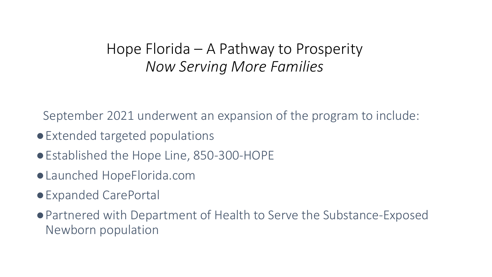#### Hope Florida – A Pathway to Prosperity *Now Serving More Families*

September 2021 underwent an expansion of the program to include:

- ●Extended targeted populations
- Established the Hope Line, 850-300-HOPE
- ●Launched HopeFlorida.com
- ●Expanded CarePortal
- ●Partnered with Department of Health to Serve the Substance-Exposed Newborn population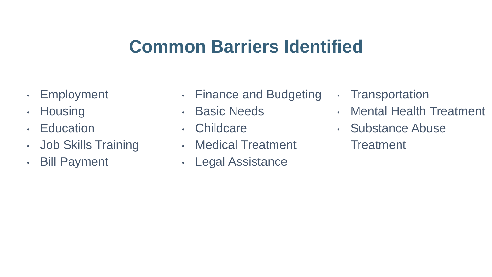## **Common Barriers Identified**

- Employment
- Housing
- Education
- Job Skills Training
- Bill Payment
- Finance and Budgeting
- Basic Needs
- Childcare
- Medical Treatment
- Legal Assistance
- Transportation
- Mental Health Treatment
- Substance Abuse
	- **Treatment**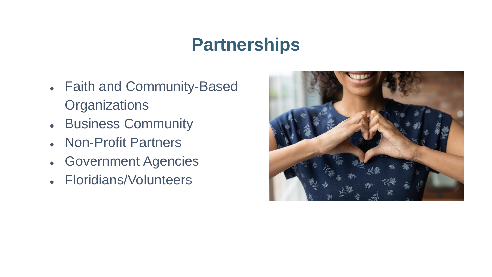## **Partnerships**

- Faith and Community-Based **Organizations**
- Business Community
- Non-Profit Partners
- Government Agencies
- Floridians/Volunteers

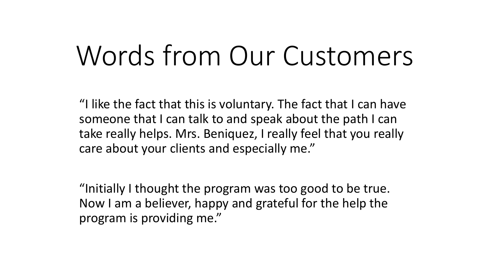# Words from Our Customers

"I like the fact that this is voluntary. The fact that I can have someone that I can talk to and speak about the path I can take really helps. Mrs. Beniquez, I really feel that you really care about your clients and especially me."

"Initially I thought the program was too good to be true. Now I am a believer, happy and grateful for the help the program is providing me."